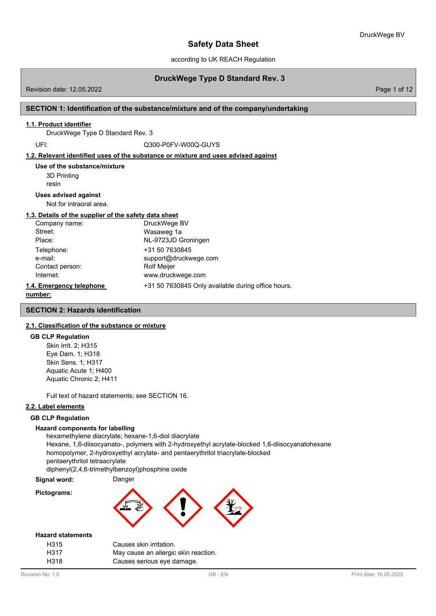according to UK REACH Regulation

# **DruckWege Type D Standard Rev. 3**

Revision date: 12.05.2022 Page 1 of 12

## **SECTION 1: Identification of the substance/mixture and of the company/undertaking**

### **1.1. Product identifier**

DruckWege Type D Standard Rev. 3

UFI: Q300-P0FV-W00Q-GUYS

### **1.2. Relevant identified uses of the substance or mixture and uses advised against**

3D Printing resin **Use of the substance/mixture**

#### **Uses advised against**

Not for intraoral area.

## **1.3. Details of the supplier of the safety data sheet**

| Company name:            | DruckWege BV                                       |
|--------------------------|----------------------------------------------------|
| Street:                  | Wasaweg 1a                                         |
| Place:                   | NL-9723JD Groningen                                |
| Telephone:               | +31 50 7630845                                     |
| e-mail:                  | support@druckwege.com                              |
| Contact person:          | <b>Rolf Meijer</b>                                 |
| Internet:                | www.druckwege.com                                  |
| 1.4. Emergency telephone | +31 50 7630845 Only available during office hours. |
|                          |                                                    |

#### **number:**

**SECTION 2: Hazards identification**

## **2.1. Classification of the substance or mixture**

#### **GB CLP Regulation**

Skin Irrit. 2; H315 Eye Dam. 1; H318 Skin Sens. 1; H317 Aquatic Acute 1; H400 Aquatic Chronic 2; H411

Full text of hazard statements: see SECTION 16.

### **2.2. Label elements**

## **GB CLP Regulation**

#### **Hazard components for labelling**

hexamethylene diacrylate; hexane-1,6-diol diacrylate Hexane, 1,6-diisocyanato-, polymers with 2-hydroxyethyl acrylate-blocked 1,6-diisocyanatohexane homopolymer, 2-hydroxyethyl acrylate- and pentaerythritol triacrylate-blocked pentaerythritol tetraacrylate diphenyl(2,4,6-trimethylbenzoyl)phosphine oxide

**Signal word:** Danger

**Pictograms:**



### **Hazard statements**

| H <sub>315</sub> | Causes skin irritation.              |
|------------------|--------------------------------------|
| H317             | May cause an allergic skin reaction. |
| H318             | Causes serious eye damage.           |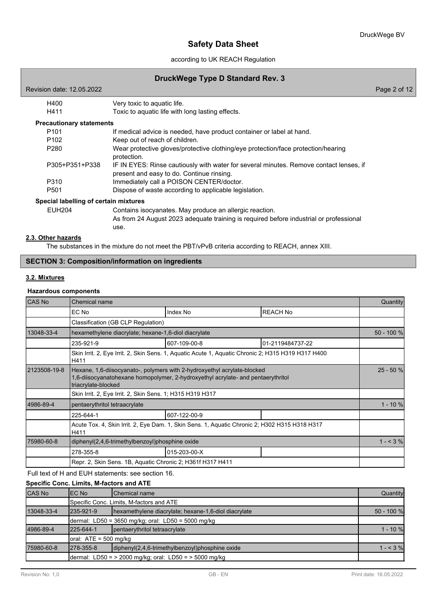## according to UK REACH Regulation

## **DruckWege Type D Standard Rev. 3**

| Revision date: 12.05.2022             |                                                                                                                                                           | Page 2 of 12 |
|---------------------------------------|-----------------------------------------------------------------------------------------------------------------------------------------------------------|--------------|
| H400                                  | Very toxic to aquatic life.                                                                                                                               |              |
| H411                                  | Toxic to aquatic life with long lasting effects.                                                                                                          |              |
| <b>Precautionary statements</b>       |                                                                                                                                                           |              |
| P <sub>101</sub>                      | If medical advice is needed, have product container or label at hand.                                                                                     |              |
| P <sub>102</sub>                      | Keep out of reach of children.                                                                                                                            |              |
| P <sub>280</sub>                      | Wear protective gloves/protective clothing/eye protection/face protection/hearing<br>protection.                                                          |              |
| P305+P351+P338                        | IF IN EYES: Rinse cautiously with water for several minutes. Remove contact lenses, if<br>present and easy to do. Continue rinsing.                       |              |
| P310                                  | Immediately call a POISON CENTER/doctor.                                                                                                                  |              |
| P <sub>501</sub>                      | Dispose of waste according to applicable legislation.                                                                                                     |              |
| Special labelling of certain mixtures |                                                                                                                                                           |              |
| <b>EUH204</b>                         | Contains isocyanates. May produce an allergic reaction.<br>As from 24 August 2023 adequate training is required before industrial or professional<br>use. |              |

## **2.3. Other hazards**

The substances in the mixture do not meet the PBT/vPvB criteria according to REACH, annex XIII.

## **SECTION 3: Composition/information on ingredients**

## **3.2. Mixtures**

### **Hazardous components**

| <b>CAS No</b> | <b>Chemical name</b>                                                                                                                                                                |                                                                                               |                  |            |  |  |
|---------------|-------------------------------------------------------------------------------------------------------------------------------------------------------------------------------------|-----------------------------------------------------------------------------------------------|------------------|------------|--|--|
|               | EC No                                                                                                                                                                               | Index No                                                                                      | <b>REACH No</b>  |            |  |  |
|               | Classification (GB CLP Regulation)                                                                                                                                                  |                                                                                               |                  |            |  |  |
| 13048-33-4    | hexamethylene diacrylate; hexane-1,6-diol diacrylate                                                                                                                                |                                                                                               |                  | 50 - 100 % |  |  |
|               | 235-921-9                                                                                                                                                                           | 607-109-00-8                                                                                  | 01-2119484737-22 |            |  |  |
|               | Skin Irrit. 2, Eye Irrit. 2, Skin Sens. 1, Aquatic Acute 1, Aquatic Chronic 2; H315 H319 H317 H400<br>H411                                                                          |                                                                                               |                  |            |  |  |
| 2123508-19-8  | Hexane, 1,6-diisocyanato-, polymers with 2-hydroxyethyl acrylate-blocked<br>1,6-diisocyanatohexane homopolymer, 2-hydroxyethyl acrylate- and pentaerythritol<br>triacrylate-blocked |                                                                                               |                  |            |  |  |
|               | Skin Irrit. 2, Eye Irrit. 2, Skin Sens. 1; H315 H319 H317                                                                                                                           |                                                                                               |                  |            |  |  |
| 4986-89-4     | pentaerythritol tetraacrylate                                                                                                                                                       |                                                                                               |                  | $1 - 10%$  |  |  |
|               | 225-644-1                                                                                                                                                                           | 607-122-00-9                                                                                  |                  |            |  |  |
|               | H411                                                                                                                                                                                | Acute Tox. 4, Skin Irrit. 2, Eye Dam. 1, Skin Sens. 1, Aquatic Chronic 2; H302 H315 H318 H317 |                  |            |  |  |
| 75980-60-8    | diphenyl(2,4,6-trimethylbenzoyl)phosphine oxide                                                                                                                                     |                                                                                               |                  | $1 - 3\%$  |  |  |
|               | 278-355-8                                                                                                                                                                           | 015-203-00-X                                                                                  |                  |            |  |  |
|               | Repr. 2, Skin Sens. 1B, Aquatic Chronic 2; H361f H317 H411                                                                                                                          |                                                                                               |                  |            |  |  |

Full text of H and EUH statements: see section 16.

## **Specific Conc. Limits, M-factors and ATE**

| <b>CAS No</b> | IEC No                  | <b>I</b> Chemical name                                     | Quantity     |
|---------------|-------------------------|------------------------------------------------------------|--------------|
|               |                         | Specific Conc. Limits, M-factors and ATE                   |              |
| 13048-33-4    | 235-921-9               | hexamethylene diacrylate; hexane-1,6-diol diacrylate       | $50 - 100 %$ |
|               |                         | dermal: LD50 = 3650 mg/kg; oral: LD50 = 5000 mg/kg         |              |
| 4986-89-4     | 225-644-1               | pentaerythritol tetraacrylate                              | $1 - 10 \%$  |
|               | oral: $ATE = 500$ mg/kg |                                                            |              |
| 75980-60-8    | 1278-355-8              | diphenyl(2,4,6-trimethylbenzoyl)phosphine oxide            | $1 - 3\%$    |
|               |                         | dermal: LD50 = $>$ 2000 mg/kg; oral: LD50 = $>$ 5000 mg/kg |              |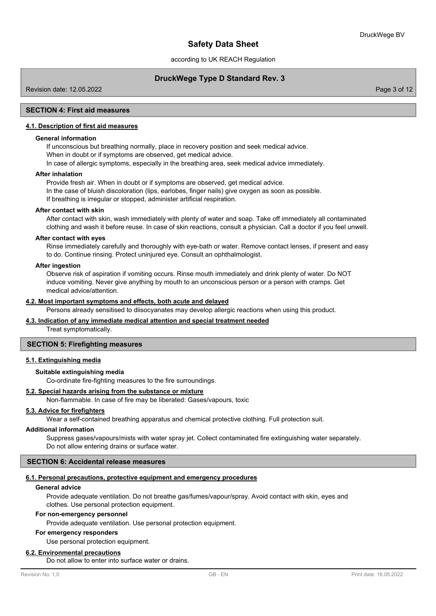according to UK REACH Regulation

## **DruckWege Type D Standard Rev. 3**

Revision date: 12.05.2022 Page 3 of 12

## **SECTION 4: First aid measures**

## **4.1. Description of first aid measures**

### **General information**

If unconscious but breathing normally, place in recovery position and seek medical advice. When in doubt or if symptoms are observed, get medical advice.

In case of allergic symptoms, especially in the breathing area, seek medical advice immediately.

#### **After inhalation**

Provide fresh air. When in doubt or if symptoms are observed, get medical advice. In the case of bluish discoloration (lips, earlobes, finger nails) give oxygen as soon as possible. If breathing is irregular or stopped, administer artificial respiration.

#### **After contact with skin**

After contact with skin, wash immediately with plenty of water and soap. Take off immediately all contaminated clothing and wash it before reuse. In case of skin reactions, consult a physician. Call a doctor if you feel unwell.

### **After contact with eyes**

Rinse immediately carefully and thoroughly with eye-bath or water. Remove contact lenses, if present and easy to do. Continue rinsing. Protect uninjured eye. Consult an ophthalmologist.

#### **After ingestion**

Observe risk of aspiration if vomiting occurs. Rinse mouth immediately and drink plenty of water. Do NOT induce vomiting. Never give anything by mouth to an unconscious person or a person with cramps. Get medical advice/attention.

### **4.2. Most important symptoms and effects, both acute and delayed**

Persons already sensitised to diisocyanates may develop allergic reactions when using this product.

### **4.3. Indication of any immediate medical attention and special treatment needed**

Treat symptomatically.

### **SECTION 5: Firefighting measures**

## **5.1. Extinguishing media**

### **Suitable extinguishing media**

Co-ordinate fire-fighting measures to the fire surroundings.

### **5.2. Special hazards arising from the substance or mixture**

Non-flammable. In case of fire may be liberated: Gases/vapours, toxic

### **5.3. Advice for firefighters**

Wear a self-contained breathing apparatus and chemical protective clothing. Full protection suit.

### **Additional information**

Suppress gases/vapours/mists with water spray jet. Collect contaminated fire extinguishing water separately. Do not allow entering drains or surface water.

## **SECTION 6: Accidental release measures**

#### **6.1. Personal precautions, protective equipment and emergency procedures**

#### **General advice**

Provide adequate ventilation. Do not breathe gas/fumes/vapour/spray. Avoid contact with skin, eyes and clothes. Use personal protection equipment.

#### **For non-emergency personnel**

Provide adequate ventilation. Use personal protection equipment.

## **For emergency responders**

Use personal protection equipment.

## **6.2. Environmental precautions**

Do not allow to enter into surface water or drains.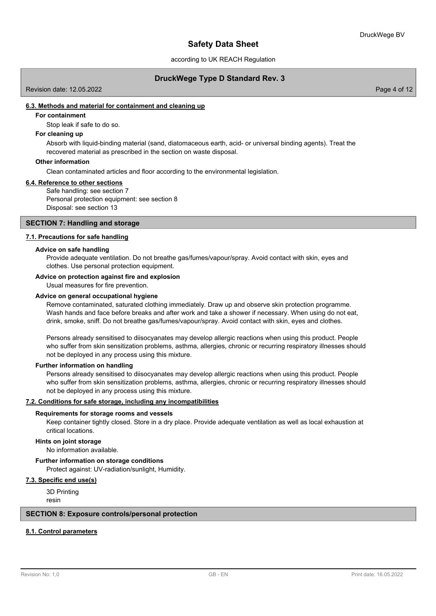according to UK REACH Regulation

## **DruckWege Type D Standard Rev. 3**

Revision date: 12.05.2022 Page 4 of 12

## **6.3. Methods and material for containment and cleaning up**

## **For containment**

Stop leak if safe to do so.

### **For cleaning up**

Absorb with liquid-binding material (sand, diatomaceous earth, acid- or universal binding agents). Treat the recovered material as prescribed in the section on waste disposal.

#### **Other information**

Clean contaminated articles and floor according to the environmental legislation.

### **6.4. Reference to other sections**

Safe handling: see section 7 Personal protection equipment: see section 8 Disposal: see section 13

#### **SECTION 7: Handling and storage**

### **7.1. Precautions for safe handling**

#### **Advice on safe handling**

Provide adequate ventilation. Do not breathe gas/fumes/vapour/spray. Avoid contact with skin, eyes and clothes. Use personal protection equipment.

#### **Advice on protection against fire and explosion**

Usual measures for fire prevention.

#### **Advice on general occupational hygiene**

Remove contaminated, saturated clothing immediately. Draw up and observe skin protection programme. Wash hands and face before breaks and after work and take a shower if necessary. When using do not eat, drink, smoke, sniff. Do not breathe gas/fumes/vapour/spray. Avoid contact with skin, eyes and clothes.

Persons already sensitised to diisocyanates may develop allergic reactions when using this product. People who suffer from skin sensitization problems, asthma, allergies, chronic or recurring respiratory illnesses should not be deployed in any process using this mixture.

#### **Further information on handling**

Persons already sensitised to diisocyanates may develop allergic reactions when using this product. People who suffer from skin sensitization problems, asthma, allergies, chronic or recurring respiratory illnesses should not be deployed in any process using this mixture.

#### **7.2. Conditions for safe storage, including any incompatibilities**

#### **Requirements for storage rooms and vessels**

Keep container tightly closed. Store in a dry place. Provide adequate ventilation as well as local exhaustion at critical locations.

#### **Hints on joint storage**

No information available.

**Further information on storage conditions**

Protect against: UV-radiation/sunlight, Humidity.

### **7.3. Specific end use(s)**

3D Printing resin

#### **SECTION 8: Exposure controls/personal protection**

## **8.1. Control parameters**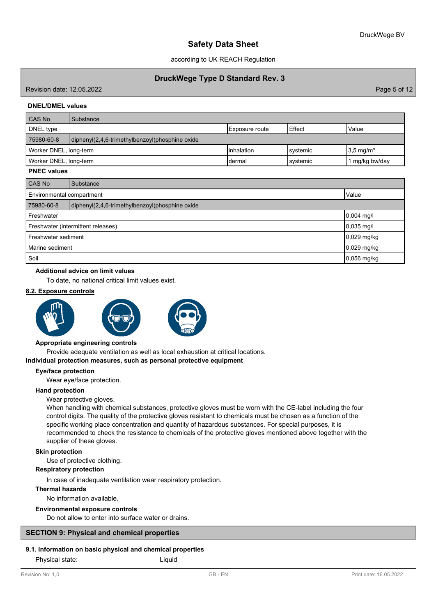according to UK REACH Regulation

## **DruckWege Type D Standard Rev. 3**

Revision date: 12.05.2022 Page 5 of 12

## **DNEL/DMEL values**

| CAS No                 | Substance                                       |                |           |                      |  |  |  |
|------------------------|-------------------------------------------------|----------------|-----------|----------------------|--|--|--|
| DNEL type              |                                                 | Exposure route | Effect    | Value                |  |  |  |
| 75980-60-8             | diphenyl(2,4,6-trimethylbenzoyl)phosphine oxide |                |           |                      |  |  |  |
| Worker DNEL, long-term |                                                 | Iinhalation    | Isvstemic | $3.5 \text{ mg/m}^3$ |  |  |  |
| Worker DNEL, long-term |                                                 | ldermal        | Isvstemic | mg/kg bw/day         |  |  |  |

## **PNEC values**

| CAS No                             | Substance                                       |               |  |  |  |
|------------------------------------|-------------------------------------------------|---------------|--|--|--|
|                                    | Environmental compartment<br>Value              |               |  |  |  |
| 75980-60-8                         | diphenyl(2,4,6-trimethylbenzoyl)phosphine oxide |               |  |  |  |
| Freshwater<br>$0,004$ mg/l         |                                                 |               |  |  |  |
| Freshwater (intermittent releases) | $0,035$ mg/l                                    |               |  |  |  |
| Freshwater sediment                | $0,029$ mg/kg                                   |               |  |  |  |
| Marine sediment                    |                                                 | $0,029$ mg/kg |  |  |  |
| Soil                               |                                                 | $0,056$ mg/kg |  |  |  |

#### **Additional advice on limit values**

To date, no national critical limit values exist.

## **8.2. Exposure controls**







#### **Appropriate engineering controls**

Provide adequate ventilation as well as local exhaustion at critical locations.

#### **Individual protection measures, such as personal protective equipment**

### **Eye/face protection**

Wear eye/face protection.

## **Hand protection**

Wear protective gloves.

When handling with chemical substances, protective gloves must be worn with the CE-label including the four control digits. The quality of the protective gloves resistant to chemicals must be chosen as a function of the specific working place concentration and quantity of hazardous substances. For special purposes, it is recommended to check the resistance to chemicals of the protective gloves mentioned above together with the supplier of these gloves.

#### **Skin protection**

Use of protective clothing.

## **Respiratory protection**

In case of inadequate ventilation wear respiratory protection.

## **Thermal hazards**

No information available.

### **Environmental exposure controls**

Do not allow to enter into surface water or drains.

## **SECTION 9: Physical and chemical properties**

### **9.1. Information on basic physical and chemical properties**

Physical state: Liquid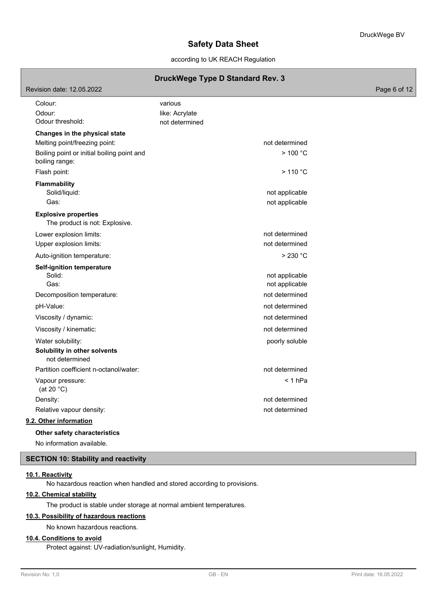according to UK REACH Regulation

## **DruckWege Type D Standard Rev. 3**

| Revision date: 12.05.2022                                      |                                  | Page 6 of 12 |
|----------------------------------------------------------------|----------------------------------|--------------|
| Colour:                                                        | various                          |              |
| Odour:<br>Odour threshold:                                     | like: Acrylate<br>not determined |              |
|                                                                |                                  |              |
| Changes in the physical state<br>Melting point/freezing point: | not determined                   |              |
| Boiling point or initial boiling point and                     | >100 °C                          |              |
| boiling range:                                                 |                                  |              |
| Flash point:                                                   | >110 °C                          |              |
| <b>Flammability</b>                                            |                                  |              |
| Solid/liquid:                                                  | not applicable                   |              |
| Gas:                                                           | not applicable                   |              |
| <b>Explosive properties</b><br>The product is not: Explosive.  |                                  |              |
| Lower explosion limits:                                        | not determined                   |              |
| Upper explosion limits:                                        | not determined                   |              |
| Auto-ignition temperature:                                     | $>230$ °C                        |              |
| <b>Self-ignition temperature</b>                               |                                  |              |
| Solid:<br>Gas:                                                 | not applicable<br>not applicable |              |
| Decomposition temperature:                                     | not determined                   |              |
| pH-Value:                                                      | not determined                   |              |
| Viscosity / dynamic:                                           | not determined                   |              |
| Viscosity / kinematic:                                         | not determined                   |              |
|                                                                |                                  |              |
| Water solubility:<br>Solubility in other solvents              | poorly soluble                   |              |
| not determined                                                 |                                  |              |
| Partition coefficient n-octanol/water:                         | not determined                   |              |
| Vapour pressure:<br>(at 20 $°C$ )                              | < 1 hPa                          |              |
| Density:                                                       | not determined                   |              |
| Relative vapour density:                                       | not determined                   |              |
| 9.2. Other information                                         |                                  |              |
| Other safety characteristics                                   |                                  |              |

No information available.

## **SECTION 10: Stability and reactivity**

## **10.1. Reactivity**

No hazardous reaction when handled and stored according to provisions.

## **10.2. Chemical stability**

The product is stable under storage at normal ambient temperatures.

## **10.3. Possibility of hazardous reactions**

No known hazardous reactions.

## **10.4. Conditions to avoid**

Protect against: UV-radiation/sunlight, Humidity.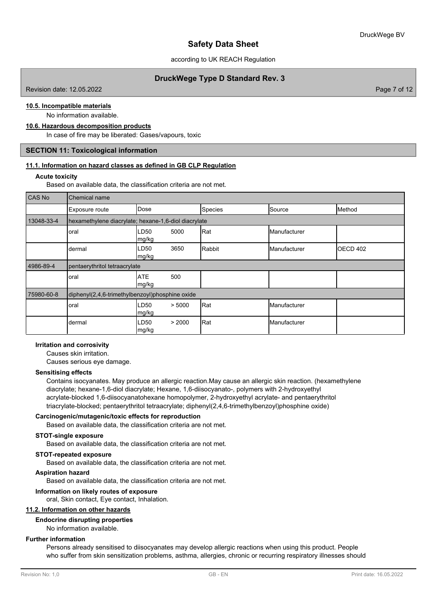according to UK REACH Regulation

## **DruckWege Type D Standard Rev. 3**

Revision date: 12.05.2022 Page 7 of 12

# **10.5. Incompatible materials**

No information available.

## **10.6. Hazardous decomposition products**

In case of fire may be liberated: Gases/vapours, toxic

## **SECTION 11: Toxicological information**

#### **11.1. Information on hazard classes as defined in GB CLP Regulation**

#### **Acute toxicity**

Based on available data, the classification criteria are not met.

| <b>CAS No</b> | Chemical name                                        |                     |        |         |              |          |  |  |
|---------------|------------------------------------------------------|---------------------|--------|---------|--------------|----------|--|--|
|               | Exposure route                                       | Dose                |        | Species | Source       | Method   |  |  |
| 13048-33-4    | hexamethylene diacrylate; hexane-1,6-diol diacrylate |                     |        |         |              |          |  |  |
|               | oral                                                 | LD50<br>mg/kg       | 5000   | Rat     | Manufacturer |          |  |  |
|               | dermal                                               | LD50<br>mg/kg       | 3650   | Rabbit  | Manufacturer | OECD 402 |  |  |
| 4986-89-4     | pentaerythritol tetraacrylate                        |                     |        |         |              |          |  |  |
|               | oral                                                 | <b>ATE</b><br>mg/kg | 500    |         |              |          |  |  |
| 75980-60-8    | diphenyl(2,4,6-trimethylbenzoyl)phosphine oxide      |                     |        |         |              |          |  |  |
|               | oral                                                 | LD50<br> mg/kg      | > 5000 | Rat     | Manufacturer |          |  |  |
|               | dermal                                               | LD50<br>mg/kg       | > 2000 | Rat     | Manufacturer |          |  |  |

### **Irritation and corrosivity**

Causes skin irritation.

Causes serious eye damage.

#### **Sensitising effects**

Contains isocyanates. May produce an allergic reaction.May cause an allergic skin reaction. (hexamethylene diacrylate; hexane-1,6-diol diacrylate; Hexane, 1,6-diisocyanato-, polymers with 2-hydroxyethyl acrylate-blocked 1,6-diisocyanatohexane homopolymer, 2-hydroxyethyl acrylate- and pentaerythritol triacrylate-blocked; pentaerythritol tetraacrylate; diphenyl(2,4,6-trimethylbenzoyl)phosphine oxide)

### **Carcinogenic/mutagenic/toxic effects for reproduction**

Based on available data, the classification criteria are not met.

#### **STOT-single exposure**

Based on available data, the classification criteria are not met.

### **STOT-repeated exposure**

Based on available data, the classification criteria are not met.

### **Aspiration hazard**

Based on available data, the classification criteria are not met.

#### **Information on likely routes of exposure**

oral, Skin contact, Eye contact, Inhalation.

## **11.2. Information on other hazards**

### **Endocrine disrupting properties**

No information available.

## **Further information**

Persons already sensitised to diisocyanates may develop allergic reactions when using this product. People who suffer from skin sensitization problems, asthma, allergies, chronic or recurring respiratory illnesses should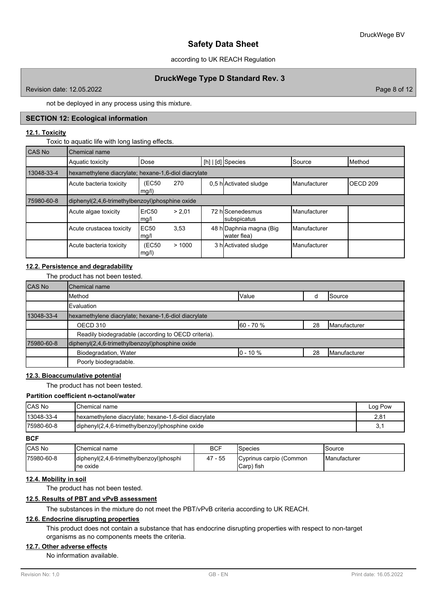### according to UK REACH Regulation

## **DruckWege Type D Standard Rev. 3**

Revision date: 12.05.2022 Page 8 of 12

not be deployed in any process using this mixture.

## **SECTION 12: Ecological information**

### **12.1. Toxicity**

Toxic to aquatic life with long lasting effects.

| CAS No     | Chemical name                                        |                           |        |  |                                        |               |                     |  |
|------------|------------------------------------------------------|---------------------------|--------|--|----------------------------------------|---------------|---------------------|--|
|            | Aquatic toxicity                                     | Dose                      |        |  | $[h]   [d]$ Species                    | Source        | Method              |  |
| 13048-33-4 | hexamethylene diacrylate; hexane-1,6-diol diacrylate |                           |        |  |                                        |               |                     |  |
|            | Acute bacteria toxicity                              | (EC50<br>mg/l)            | 270    |  | 0.5 h Activated sludge                 | Manufacturer  | OECD <sub>209</sub> |  |
| 75980-60-8 | diphenyl(2,4,6-trimethylbenzoyl)phosphine oxide      |                           |        |  |                                        |               |                     |  |
|            | Acute algae toxicity                                 | ErC <sub>50</sub><br>mg/l | > 2.01 |  | 72 hlScenedesmus<br>subspicatus        | Manufacturer  |                     |  |
|            | Acute crustacea toxicity                             | <b>EC50</b><br>mg/l       | 3,53   |  | 48 h Daphnia magna (Big<br>water flea) | Manufacturer  |                     |  |
|            | Acute bacteria toxicity                              | (EC50<br>mg/l)            | >1000  |  | 3 h Activated sludge                   | lManufacturer |                     |  |

## **12.2. Persistence and degradability**

The product has not been tested.

| <b>CAS No</b> | Chemical name                                        |             |    |                     |  |  |  |  |
|---------------|------------------------------------------------------|-------------|----|---------------------|--|--|--|--|
|               | Method                                               | Value       |    | Source              |  |  |  |  |
|               | Evaluation                                           |             |    |                     |  |  |  |  |
| 13048-33-4    | hexamethylene diacrylate; hexane-1,6-diol diacrylate |             |    |                     |  |  |  |  |
|               | OECD 310                                             | 60 - 70 %   | 28 | <b>Manufacturer</b> |  |  |  |  |
|               | Readily biodegradable (according to OECD criteria).  |             |    |                     |  |  |  |  |
| 75980-60-8    | diphenyl(2,4,6-trimethylbenzoyl)phosphine oxide      |             |    |                     |  |  |  |  |
|               | Biodegradation, Water                                | $0 - 10 \%$ | 28 | <b>Manufacturer</b> |  |  |  |  |
|               | Poorly biodegradable.                                |             |    |                     |  |  |  |  |

## **12.3. Bioaccumulative potential**

The product has not been tested.

| Partition coefficient n-octanol/water |                                                      |         |  |  |
|---------------------------------------|------------------------------------------------------|---------|--|--|
| <b>CAS No</b>                         | <b>I</b> Chemical name                               | Log Pow |  |  |
| 13048-33-4                            | hexamethylene diacrylate; hexane-1,6-diol diacrylate | 2,81    |  |  |
| 175980-60-8                           | diphenyl(2,4,6-trimethylbenzoyl)phosphine oxide      | 3,1     |  |  |

## **BCF**

| <b>ICAS No</b> | <b>I</b> Chemical name                               | BCF        | <b>S</b> pecies                                | Source                |
|----------------|------------------------------------------------------|------------|------------------------------------------------|-----------------------|
| l75980-60-8    | diphenyl(2,4,6-trimethylbenzoyl)phosphi<br>Ine oxide | - 55<br>47 | Cyprinus carpio (Common<br><b>I</b> Carp) fish | <b>I</b> Manufacturer |

### **12.4. Mobility in soil**

The product has not been tested.

#### **12.5. Results of PBT and vPvB assessment**

The substances in the mixture do not meet the PBT/vPvB criteria according to UK REACH.

## **12.6. Endocrine disrupting properties**

This product does not contain a substance that has endocrine disrupting properties with respect to non-target organisms as no components meets the criteria.

### **12.7. Other adverse effects**

No information available.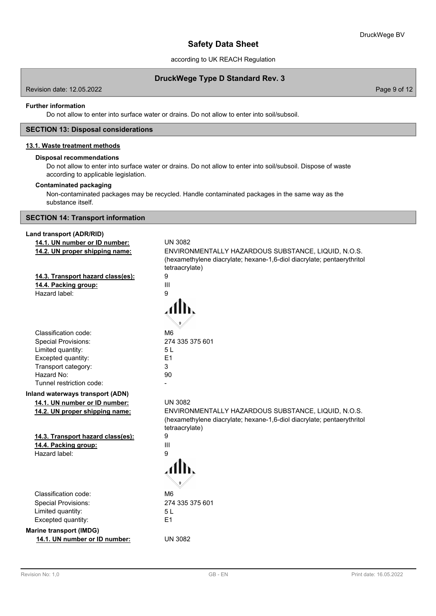according to UK REACH Regulation

**DruckWege Type D Standard Rev. 3**

Revision date: 12.05.2022 Page 9 of 12

#### **Further information**

Do not allow to enter into surface water or drains. Do not allow to enter into soil/subsoil.

### **SECTION 13: Disposal considerations**

## **13.1. Waste treatment methods**

## **Disposal recommendations**

Do not allow to enter into surface water or drains. Do not allow to enter into soil/subsoil. Dispose of waste according to applicable legislation.

### **Contaminated packaging**

Non-contaminated packages may be recycled. Handle contaminated packages in the same way as the substance itself.

## **SECTION 14: Transport information**

### **Land transport (ADR/RID)**

| 14.1. UN number or ID number:     | <b>UN 3082</b>                                                                                                                                  |
|-----------------------------------|-------------------------------------------------------------------------------------------------------------------------------------------------|
| 14.2. UN proper shipping name:    | ENVIRONMENTALLY HAZARDOUS SUBSTANCE, LIQUID, N.O.S.<br>(hexamethylene diacrylate; hexane-1,6-diol diacrylate; pentaerythritol<br>tetraacrylate) |
| 14.3. Transport hazard class(es): | 9                                                                                                                                               |
| 14.4. Packing group:              | $\mathbf{III}$                                                                                                                                  |
| Hazard label:                     | 9                                                                                                                                               |
|                                   |                                                                                                                                                 |
| Classification code:              | M <sub>6</sub>                                                                                                                                  |
| <b>Special Provisions:</b>        | 274 335 375 601                                                                                                                                 |
| Limited quantity:                 | 5L                                                                                                                                              |
| Excepted quantity:                | E1                                                                                                                                              |
| Transport category:               | 3                                                                                                                                               |
| Hazard No:                        | 90                                                                                                                                              |
| Tunnel restriction code:          |                                                                                                                                                 |
| Inland waterways transport (ADN)  |                                                                                                                                                 |
| 14.1. UN number or ID number:     | <b>UN 3082</b>                                                                                                                                  |
| 14.2. UN proper shipping name:    | ENVIRONMENTALLY HAZARDOUS SUBSTANCE, LIQUID, N.O.S.<br>(hexamethylene diacrylate; hexane-1,6-diol diacrylate; pentaerythritol<br>tetraacrylate) |
| 14.3. Transport hazard class(es): | 9                                                                                                                                               |
| 14.4. Packing group:              | Ш                                                                                                                                               |
| Hazard label:                     | 9                                                                                                                                               |
|                                   |                                                                                                                                                 |
| Classification code:              | M <sub>6</sub>                                                                                                                                  |
| <b>Special Provisions:</b>        | 274 335 375 601                                                                                                                                 |
| Limited quantity:                 | 5L                                                                                                                                              |
| Excepted quantity:                | E1                                                                                                                                              |
| <b>Marine transport (IMDG)</b>    |                                                                                                                                                 |
| 14.1. UN number or ID number:     | <b>UN 3082</b>                                                                                                                                  |
|                                   |                                                                                                                                                 |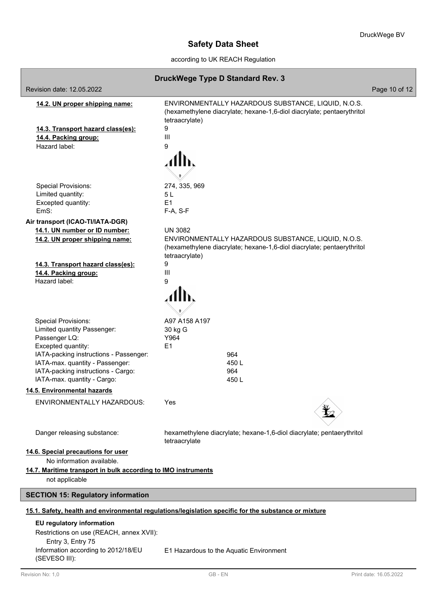according to UK REACH Regulation

|                                                                                                      | DruckWege Type D Standard Rev. 3                                                                                                                                  |               |  |  |  |  |
|------------------------------------------------------------------------------------------------------|-------------------------------------------------------------------------------------------------------------------------------------------------------------------|---------------|--|--|--|--|
| Revision date: 12.05.2022                                                                            |                                                                                                                                                                   | Page 10 of 12 |  |  |  |  |
| 14.2. UN proper shipping name:                                                                       | ENVIRONMENTALLY HAZARDOUS SUBSTANCE, LIQUID, N.O.S.<br>(hexamethylene diacrylate; hexane-1,6-diol diacrylate; pentaerythritol<br>tetraacrylate)                   |               |  |  |  |  |
| 14.3. Transport hazard class(es):                                                                    | 9                                                                                                                                                                 |               |  |  |  |  |
| 14.4. Packing group:                                                                                 | Ш                                                                                                                                                                 |               |  |  |  |  |
| Hazard label:                                                                                        | 9                                                                                                                                                                 |               |  |  |  |  |
| <b>Special Provisions:</b>                                                                           | 274, 335, 969                                                                                                                                                     |               |  |  |  |  |
| Limited quantity:                                                                                    | 5 L                                                                                                                                                               |               |  |  |  |  |
| Excepted quantity:                                                                                   | E <sub>1</sub>                                                                                                                                                    |               |  |  |  |  |
| EmS:                                                                                                 | F-A, S-F                                                                                                                                                          |               |  |  |  |  |
| Air transport (ICAO-TI/IATA-DGR)                                                                     |                                                                                                                                                                   |               |  |  |  |  |
| 14.1. UN number or ID number:<br>14.2. UN proper shipping name:                                      | <b>UN 3082</b><br>ENVIRONMENTALLY HAZARDOUS SUBSTANCE, LIQUID, N.O.S.<br>(hexamethylene diacrylate; hexane-1,6-diol diacrylate; pentaerythritol<br>tetraacrylate) |               |  |  |  |  |
| 14.3. Transport hazard class(es):                                                                    | 9                                                                                                                                                                 |               |  |  |  |  |
| 14.4. Packing group:<br>Hazard label:                                                                | III<br>9                                                                                                                                                          |               |  |  |  |  |
|                                                                                                      |                                                                                                                                                                   |               |  |  |  |  |
| <b>Special Provisions:</b>                                                                           | A97 A158 A197                                                                                                                                                     |               |  |  |  |  |
| Limited quantity Passenger:                                                                          | 30 kg G                                                                                                                                                           |               |  |  |  |  |
| Passenger LQ:                                                                                        | Y964                                                                                                                                                              |               |  |  |  |  |
| Excepted quantity:                                                                                   | E1                                                                                                                                                                |               |  |  |  |  |
| IATA-packing instructions - Passenger:                                                               | 964                                                                                                                                                               |               |  |  |  |  |
| IATA-max. quantity - Passenger:                                                                      | 450L                                                                                                                                                              |               |  |  |  |  |
| IATA-packing instructions - Cargo:                                                                   | 964                                                                                                                                                               |               |  |  |  |  |
| IATA-max. quantity - Cargo:                                                                          | 450L                                                                                                                                                              |               |  |  |  |  |
| 14.5. Environmental hazards                                                                          |                                                                                                                                                                   |               |  |  |  |  |
| ENVIRONMENTALLY HAZARDOUS:                                                                           | Yes                                                                                                                                                               |               |  |  |  |  |
| Danger releasing substance:                                                                          | hexamethylene diacrylate; hexane-1,6-diol diacrylate; pentaerythritol<br>tetraacrylate                                                                            |               |  |  |  |  |
| 14.6. Special precautions for user<br>No information available.                                      |                                                                                                                                                                   |               |  |  |  |  |
| 14.7. Maritime transport in bulk according to IMO instruments                                        |                                                                                                                                                                   |               |  |  |  |  |
| not applicable                                                                                       |                                                                                                                                                                   |               |  |  |  |  |
| <b>SECTION 15: Regulatory information</b>                                                            |                                                                                                                                                                   |               |  |  |  |  |
| 15.1. Safety, health and environmental regulations/legislation specific for the substance or mixture |                                                                                                                                                                   |               |  |  |  |  |
| EU regulatory information                                                                            |                                                                                                                                                                   |               |  |  |  |  |
| Restrictions on use (REACH, annex XVII):                                                             |                                                                                                                                                                   |               |  |  |  |  |
| Entry 3, Entry 75                                                                                    |                                                                                                                                                                   |               |  |  |  |  |
| Information according to 2012/18/EU<br>(SEVESO III):                                                 | E1 Hazardous to the Aquatic Environment                                                                                                                           |               |  |  |  |  |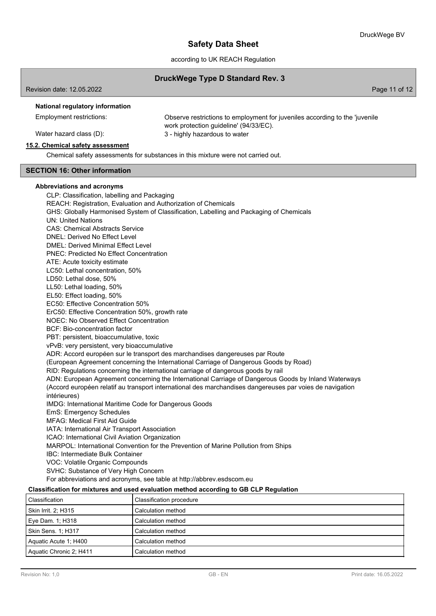according to UK REACH Regulation

### **DruckWege Type D Standard Rev. 3**

Page 11 of 12

### **National regulatory information**

Employment restrictions:

Observe restrictions to employment for juveniles according to the 'juvenile work protection guideline' (94/33/EC). Water hazard class (D):  $\qquad \qquad 3$  - highly hazardous to water

### **15.2. Chemical safety assessment**

Chemical safety assessments for substances in this mixture were not carried out.

## **SECTION 16: Other information**

#### **Abbreviations and acronyms**

CLP: Classification, labelling and Packaging REACH: Registration, Evaluation and Authorization of Chemicals GHS: Globally Harmonised System of Classification, Labelling and Packaging of Chemicals UN: United Nations CAS: Chemical Abstracts Service DNEL: Derived No Effect Level DMEL: Derived Minimal Effect Level PNEC: Predicted No Effect Concentration ATE: Acute toxicity estimate LC50: Lethal concentration, 50% LD50: Lethal dose, 50% LL50: Lethal loading, 50% EL50: Effect loading, 50% EC50: Effective Concentration 50% ErC50: Effective Concentration 50%, growth rate NOEC: No Observed Effect Concentration BCF: Bio-concentration factor PBT: persistent, bioaccumulative, toxic vPvB: very persistent, very bioaccumulative ADR: Accord européen sur le transport des marchandises dangereuses par Route (European Agreement concerning the International Carriage of Dangerous Goods by Road) RID: Regulations concerning the international carriage of dangerous goods by rail ADN: European Agreement concerning the International Carriage of Dangerous Goods by Inland Waterways (Accord européen relatif au transport international des marchandises dangereuses par voies de navigation intérieures) IMDG: International Maritime Code for Dangerous Goods EmS: Emergency Schedules MFAG: Medical First Aid Guide IATA: International Air Transport Association ICAO: International Civil Aviation Organization MARPOL: International Convention for the Prevention of Marine Pollution from Ships IBC: Intermediate Bulk Container VOC: Volatile Organic Compounds

SVHC: Substance of Very High Concern

For abbreviations and acronyms, see table at http://abbrev.esdscom.eu

#### **Classification for mixtures and used evaluation method according to GB CLP Regulation**

| Classification            | Classification procedure |
|---------------------------|--------------------------|
| Skin Irrit. 2: H315       | Calculation method       |
| Eye Dam. 1; H318          | Calculation method       |
| <b>Skin Sens. 1: H317</b> | Calculation method       |
| Aquatic Acute 1; H400     | Calculation method       |
| Aquatic Chronic 2; H411   | Calculation method       |